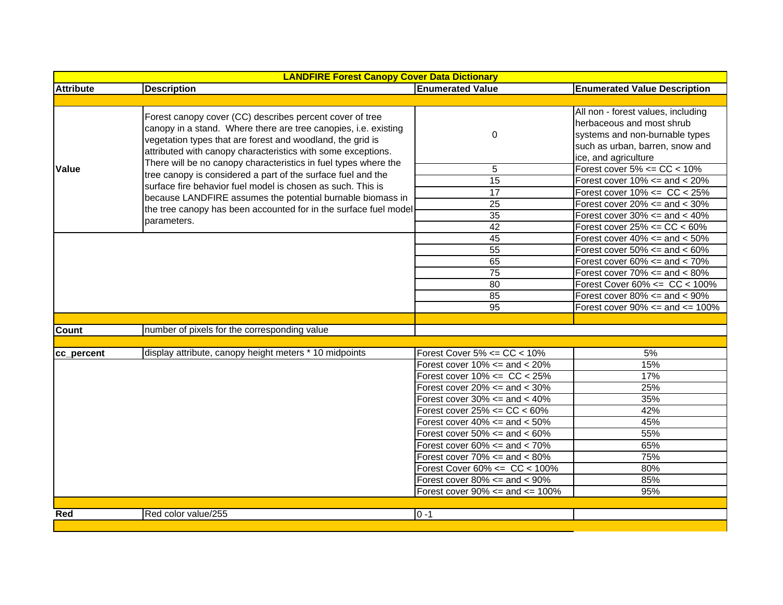| <b>LANDFIRE Forest Canopy Cover Data Dictionary</b> |                                                                                                                                                                                                                                                                                                                                                                                                                                                                                                                                                                                                              |                                       |                                                                                                                                      |  |
|-----------------------------------------------------|--------------------------------------------------------------------------------------------------------------------------------------------------------------------------------------------------------------------------------------------------------------------------------------------------------------------------------------------------------------------------------------------------------------------------------------------------------------------------------------------------------------------------------------------------------------------------------------------------------------|---------------------------------------|--------------------------------------------------------------------------------------------------------------------------------------|--|
| <b>Attribute</b>                                    | <b>Description</b>                                                                                                                                                                                                                                                                                                                                                                                                                                                                                                                                                                                           | <b>Enumerated Value</b>               | <b>Enumerated Value Description</b>                                                                                                  |  |
|                                                     |                                                                                                                                                                                                                                                                                                                                                                                                                                                                                                                                                                                                              |                                       |                                                                                                                                      |  |
| Value                                               | Forest canopy cover (CC) describes percent cover of tree<br>canopy in a stand. Where there are tree canopies, i.e. existing<br>vegetation types that are forest and woodland, the grid is<br>attributed with canopy characteristics with some exceptions.<br>There will be no canopy characteristics in fuel types where the<br>tree canopy is considered a part of the surface fuel and the<br>surface fire behavior fuel model is chosen as such. This is<br>because LANDFIRE assumes the potential burnable biomass in<br>the tree canopy has been accounted for in the surface fuel model<br>parameters. | 0                                     | All non - forest values, including<br>herbaceous and most shrub<br>systems and non-burnable types<br>such as urban, barren, snow and |  |
|                                                     |                                                                                                                                                                                                                                                                                                                                                                                                                                                                                                                                                                                                              | 5                                     | ice, and agriculture<br>Forest cover $5\% \leq CC \leq 10\%$                                                                         |  |
|                                                     |                                                                                                                                                                                                                                                                                                                                                                                                                                                                                                                                                                                                              | $\overline{15}$                       | Forest cover $10\% ==$ and $< 20\%$                                                                                                  |  |
|                                                     |                                                                                                                                                                                                                                                                                                                                                                                                                                                                                                                                                                                                              | 17                                    | Forest cover $10\% \leq C$ CC < 25%                                                                                                  |  |
|                                                     |                                                                                                                                                                                                                                                                                                                                                                                                                                                                                                                                                                                                              | $\overline{25}$                       | Forest cover $20\% ==$ and $< 30\%$                                                                                                  |  |
|                                                     |                                                                                                                                                                                                                                                                                                                                                                                                                                                                                                                                                                                                              | $\overline{35}$                       | Forest cover $30\% ==$ and $< 40\%$                                                                                                  |  |
|                                                     |                                                                                                                                                                                                                                                                                                                                                                                                                                                                                                                                                                                                              | 42                                    | Forest cover $25\% \leq CC \leq 60\%$                                                                                                |  |
|                                                     |                                                                                                                                                                                                                                                                                                                                                                                                                                                                                                                                                                                                              | 45                                    | Forest cover $40\% ==$ and $< 50\%$                                                                                                  |  |
|                                                     |                                                                                                                                                                                                                                                                                                                                                                                                                                                                                                                                                                                                              | $\overline{55}$                       | Forest cover $50\% ==$ and $< 60\%$                                                                                                  |  |
|                                                     |                                                                                                                                                                                                                                                                                                                                                                                                                                                                                                                                                                                                              | 65                                    | Forest cover $60\% ==$ and $< 70\%$                                                                                                  |  |
|                                                     |                                                                                                                                                                                                                                                                                                                                                                                                                                                                                                                                                                                                              | $\overline{75}$                       | Forest cover $70\% ==$ and $< 80\%$                                                                                                  |  |
|                                                     |                                                                                                                                                                                                                                                                                                                                                                                                                                                                                                                                                                                                              | $\overline{80}$                       | Forest Cover $60\% \leq CC < 100\%$                                                                                                  |  |
|                                                     |                                                                                                                                                                                                                                                                                                                                                                                                                                                                                                                                                                                                              | 85                                    | Forest cover $80\% ==$ and $< 90\%$                                                                                                  |  |
|                                                     |                                                                                                                                                                                                                                                                                                                                                                                                                                                                                                                                                                                                              | 95                                    | Forest cover $90\% ==$ and $<= 100\%$                                                                                                |  |
|                                                     |                                                                                                                                                                                                                                                                                                                                                                                                                                                                                                                                                                                                              |                                       |                                                                                                                                      |  |
| <b>Count</b>                                        | number of pixels for the corresponding value                                                                                                                                                                                                                                                                                                                                                                                                                                                                                                                                                                 |                                       |                                                                                                                                      |  |
|                                                     |                                                                                                                                                                                                                                                                                                                                                                                                                                                                                                                                                                                                              |                                       |                                                                                                                                      |  |
| cc_percent                                          | display attribute, canopy height meters * 10 midpoints                                                                                                                                                                                                                                                                                                                                                                                                                                                                                                                                                       | Forest Cover $5\% \leq CC < 10\%$     | 5%                                                                                                                                   |  |
|                                                     |                                                                                                                                                                                                                                                                                                                                                                                                                                                                                                                                                                                                              | Forest cover $10\% ==$ and $< 20\%$   | 15%                                                                                                                                  |  |
|                                                     |                                                                                                                                                                                                                                                                                                                                                                                                                                                                                                                                                                                                              | Forest cover $10\% \leq C < 25\%$     | 17%                                                                                                                                  |  |
|                                                     |                                                                                                                                                                                                                                                                                                                                                                                                                                                                                                                                                                                                              | Forest cover $20\% ==$ and $< 30\%$   | 25%                                                                                                                                  |  |
|                                                     |                                                                                                                                                                                                                                                                                                                                                                                                                                                                                                                                                                                                              | Forest cover $30\% ==$ and $< 40\%$   | 35%                                                                                                                                  |  |
|                                                     |                                                                                                                                                                                                                                                                                                                                                                                                                                                                                                                                                                                                              | Forest cover $25\% \leq CC \leq 60\%$ | 42%                                                                                                                                  |  |
|                                                     |                                                                                                                                                                                                                                                                                                                                                                                                                                                                                                                                                                                                              | Forest cover $40\% ==$ and $< 50\%$   | 45%                                                                                                                                  |  |
|                                                     |                                                                                                                                                                                                                                                                                                                                                                                                                                                                                                                                                                                                              | Forest cover $50\% ==$ and $< 60\%$   | 55%                                                                                                                                  |  |
|                                                     |                                                                                                                                                                                                                                                                                                                                                                                                                                                                                                                                                                                                              | Forest cover $60\% ==$ and $< 70\%$   | 65%                                                                                                                                  |  |
|                                                     |                                                                                                                                                                                                                                                                                                                                                                                                                                                                                                                                                                                                              | Forest cover $70\% ==$ and $< 80\%$   | 75%                                                                                                                                  |  |
|                                                     |                                                                                                                                                                                                                                                                                                                                                                                                                                                                                                                                                                                                              | Forest Cover $60\% \leq C < 100\%$    | 80%                                                                                                                                  |  |
|                                                     |                                                                                                                                                                                                                                                                                                                                                                                                                                                                                                                                                                                                              | Forest cover $80\% ==$ and $< 90\%$   | 85%                                                                                                                                  |  |
|                                                     |                                                                                                                                                                                                                                                                                                                                                                                                                                                                                                                                                                                                              | Forest cover $90\% ==$ and $<= 100\%$ | 95%                                                                                                                                  |  |
|                                                     |                                                                                                                                                                                                                                                                                                                                                                                                                                                                                                                                                                                                              |                                       |                                                                                                                                      |  |
| Red                                                 | Red color value/255                                                                                                                                                                                                                                                                                                                                                                                                                                                                                                                                                                                          | $0 - 1$                               |                                                                                                                                      |  |
|                                                     |                                                                                                                                                                                                                                                                                                                                                                                                                                                                                                                                                                                                              |                                       |                                                                                                                                      |  |